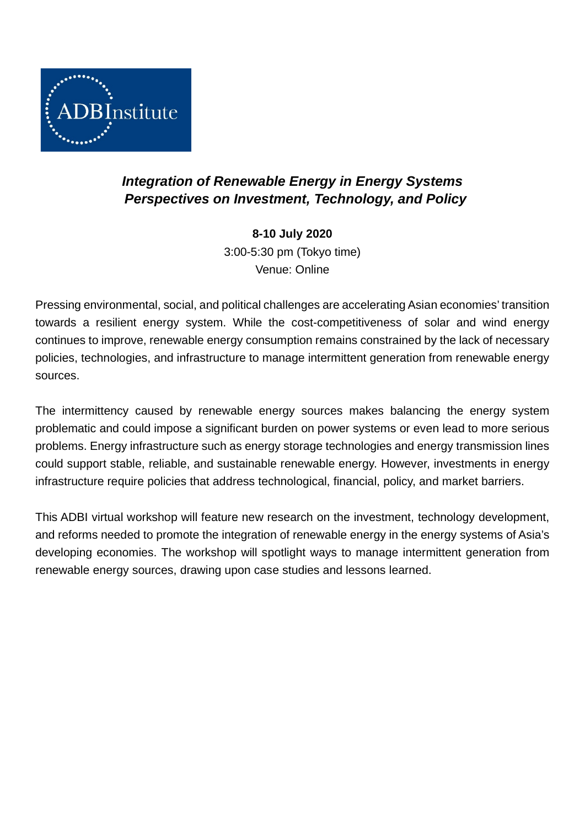

## *Integration of Renewable Energy in Energy Systems Perspectives on Investment, Technology, and Policy*

**8-10 July 2020** 3:00-5:30 pm (Tokyo time) Venue: Online

Pressing environmental, social, and political challenges are accelerating Asian economies' transition towards a resilient energy system. While the cost-competitiveness of solar and wind energy continues to improve, renewable energy consumption remains constrained by the lack of necessary policies, technologies, and infrastructure to manage intermittent generation from renewable energy sources.

The intermittency caused by renewable energy sources makes balancing the energy system problematic and could impose a significant burden on power systems or even lead to more serious problems. Energy infrastructure such as energy storage technologies and energy transmission lines could support stable, reliable, and sustainable renewable energy. However, investments in energy infrastructure require policies that address technological, financial, policy, and market barriers.

This ADBI virtual workshop will feature new research on the investment, technology development, and reforms needed to promote the integration of renewable energy in the energy systems of Asia's developing economies. The workshop will spotlight ways to manage intermittent generation from renewable energy sources, drawing upon case studies and lessons learned.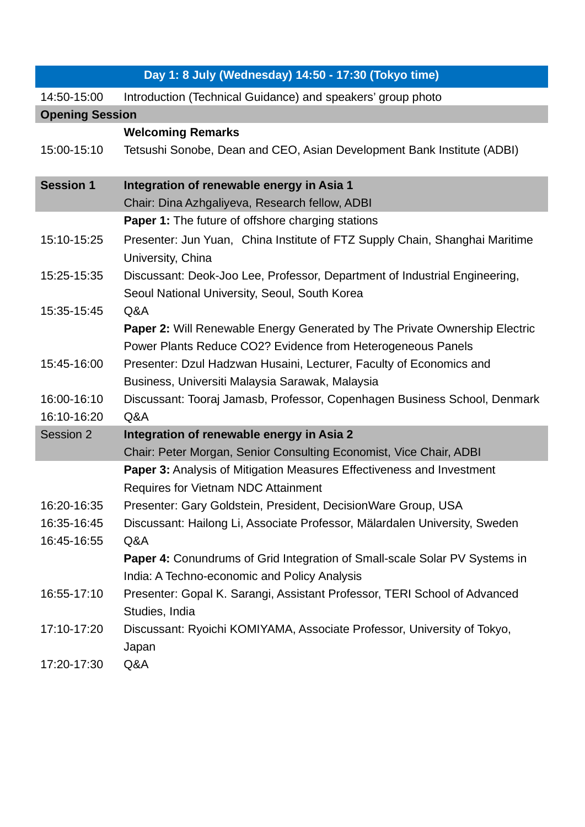| Day 1: 8 July (Wednesday) 14:50 - 17:30 (Tokyo time) |                                                                                                                                                  |  |
|------------------------------------------------------|--------------------------------------------------------------------------------------------------------------------------------------------------|--|
| 14:50-15:00                                          | Introduction (Technical Guidance) and speakers' group photo                                                                                      |  |
| <b>Opening Session</b>                               |                                                                                                                                                  |  |
|                                                      | <b>Welcoming Remarks</b>                                                                                                                         |  |
| 15:00-15:10                                          | Tetsushi Sonobe, Dean and CEO, Asian Development Bank Institute (ADBI)                                                                           |  |
| <b>Session 1</b>                                     | Integration of renewable energy in Asia 1                                                                                                        |  |
|                                                      | Chair: Dina Azhgaliyeva, Research fellow, ADBI                                                                                                   |  |
|                                                      | <b>Paper 1:</b> The future of offshore charging stations                                                                                         |  |
| 15:10-15:25                                          | Presenter: Jun Yuan, China Institute of FTZ Supply Chain, Shanghai Maritime<br>University, China                                                 |  |
| 15:25-15:35                                          | Discussant: Deok-Joo Lee, Professor, Department of Industrial Engineering,<br>Seoul National University, Seoul, South Korea                      |  |
| 15:35-15:45                                          | Q&A                                                                                                                                              |  |
|                                                      | <b>Paper 2: Will Renewable Energy Generated by The Private Ownership Electric</b><br>Power Plants Reduce CO2? Evidence from Heterogeneous Panels |  |
| 15:45-16:00                                          | Presenter: Dzul Hadzwan Husaini, Lecturer, Faculty of Economics and<br>Business, Universiti Malaysia Sarawak, Malaysia                           |  |
| 16:00-16:10                                          | Discussant: Tooraj Jamasb, Professor, Copenhagen Business School, Denmark                                                                        |  |
| 16:10-16:20                                          | Q&A                                                                                                                                              |  |
| Session 2                                            | Integration of renewable energy in Asia 2                                                                                                        |  |
|                                                      | Chair: Peter Morgan, Senior Consulting Economist, Vice Chair, ADBI                                                                               |  |
|                                                      | Paper 3: Analysis of Mitigation Measures Effectiveness and Investment<br><b>Requires for Vietnam NDC Attainment</b>                              |  |
| 16:20-16:35                                          | Presenter: Gary Goldstein, President, DecisionWare Group, USA                                                                                    |  |
| 16:35-16:45                                          | Discussant: Hailong Li, Associate Professor, Mälardalen University, Sweden                                                                       |  |
| 16:45-16:55                                          | Q&A                                                                                                                                              |  |
|                                                      | Paper 4: Conundrums of Grid Integration of Small-scale Solar PV Systems in                                                                       |  |
|                                                      | India: A Techno-economic and Policy Analysis                                                                                                     |  |
| 16:55-17:10                                          | Presenter: Gopal K. Sarangi, Assistant Professor, TERI School of Advanced<br>Studies, India                                                      |  |
| 17:10-17:20                                          | Discussant: Ryoichi KOMIYAMA, Associate Professor, University of Tokyo,<br>Japan                                                                 |  |
| 17:20-17:30                                          | Q&A                                                                                                                                              |  |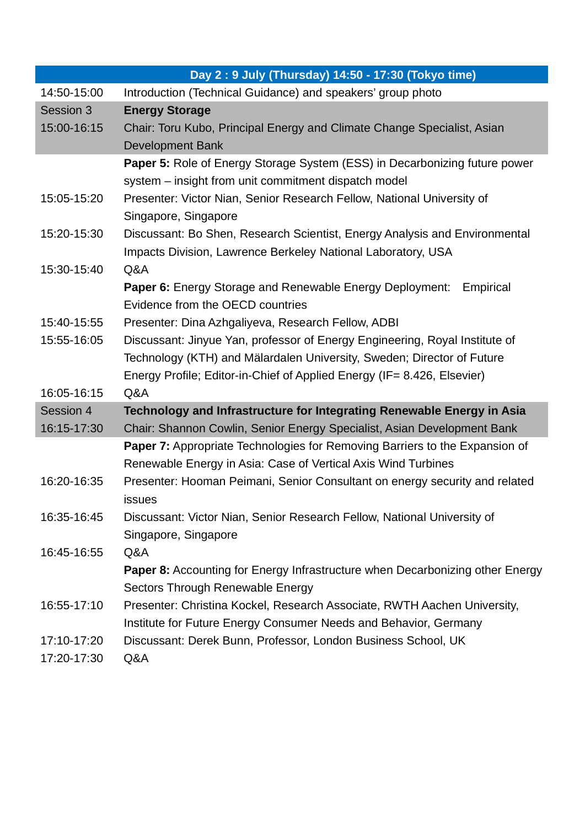|             | Day 2: 9 July (Thursday) 14:50 - 17:30 (Tokyo time)                                          |
|-------------|----------------------------------------------------------------------------------------------|
| 14:50-15:00 | Introduction (Technical Guidance) and speakers' group photo                                  |
| Session 3   | <b>Energy Storage</b>                                                                        |
| 15:00-16:15 | Chair: Toru Kubo, Principal Energy and Climate Change Specialist, Asian                      |
|             | <b>Development Bank</b>                                                                      |
|             | <b>Paper 5:</b> Role of Energy Storage System (ESS) in Decarbonizing future power            |
|             | system - insight from unit commitment dispatch model                                         |
| 15:05-15:20 | Presenter: Victor Nian, Senior Research Fellow, National University of                       |
|             | Singapore, Singapore                                                                         |
| 15:20-15:30 | Discussant: Bo Shen, Research Scientist, Energy Analysis and Environmental                   |
|             | Impacts Division, Lawrence Berkeley National Laboratory, USA                                 |
| 15:30-15:40 | Q&A                                                                                          |
|             | <b>Paper 6:</b> Energy Storage and Renewable Energy Deployment:<br>Empirical                 |
|             | Evidence from the OECD countries                                                             |
| 15:40-15:55 | Presenter: Dina Azhgaliyeva, Research Fellow, ADBI                                           |
| 15:55-16:05 | Discussant: Jinyue Yan, professor of Energy Engineering, Royal Institute of                  |
|             | Technology (KTH) and Mälardalen University, Sweden; Director of Future                       |
|             | Energy Profile; Editor-in-Chief of Applied Energy (IF= 8.426, Elsevier)                      |
| 16:05-16:15 | Q&A                                                                                          |
| Session 4   | Technology and Infrastructure for Integrating Renewable Energy in Asia                       |
| 16:15-17:30 | Chair: Shannon Cowlin, Senior Energy Specialist, Asian Development Bank                      |
|             | <b>Paper 7:</b> Appropriate Technologies for Removing Barriers to the Expansion of           |
|             | Renewable Energy in Asia: Case of Vertical Axis Wind Turbines                                |
| 16:20-16:35 | Presenter: Hooman Peimani, Senior Consultant on energy security and related<br><b>issues</b> |
| 16:35-16:45 | Discussant: Victor Nian, Senior Research Fellow, National University of                      |
|             | Singapore, Singapore                                                                         |
| 16:45-16:55 | Q&A                                                                                          |
|             | <b>Paper 8:</b> Accounting for Energy Infrastructure when Decarbonizing other Energy         |
|             | Sectors Through Renewable Energy                                                             |
| 16:55-17:10 | Presenter: Christina Kockel, Research Associate, RWTH Aachen University,                     |
|             | Institute for Future Energy Consumer Needs and Behavior, Germany                             |
| 17:10-17:20 | Discussant: Derek Bunn, Professor, London Business School, UK                                |
| 17:20-17:30 | Q&A                                                                                          |